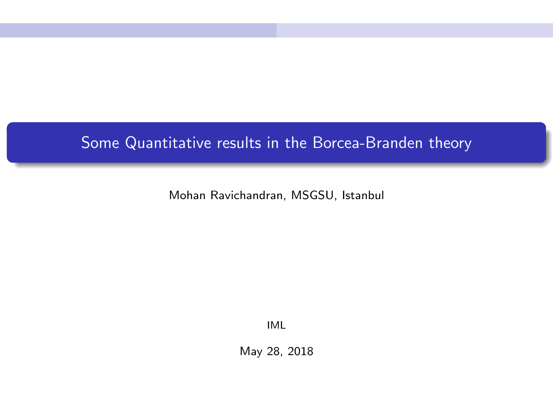# <span id="page-0-0"></span>Some Quantitative results in the Borcea-Branden theory

Mohan Ravichandran, MSGSU, Istanbul

IML

May 28, 2018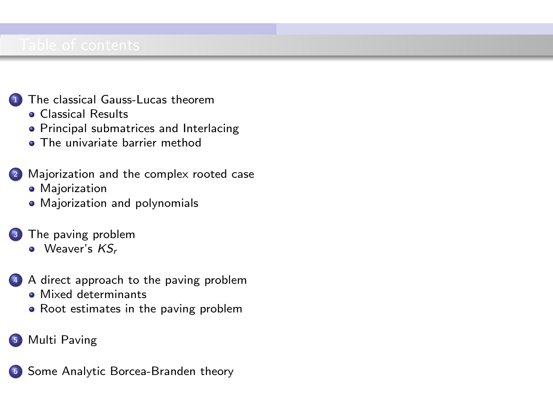- <sup>1</sup> [The classical Gauss-Lucas theorem](#page-3-0)
	- **[Classical Results](#page-3-0)**
	- **•** [Principal submatrices and Interlacing](#page-15-0)
	- **[The univariate barrier method](#page-20-0)**
- 2 [Majorization and the complex rooted case](#page-23-0)
	- **•** [Majorization](#page-23-0)
	- **•** [Majorization and polynomials](#page-30-0)
- <sup>3</sup> [The paving problem](#page-39-0)
	- $\bullet$  [Weaver's](#page-41-0)  $KS_r$
- 4 [A direct approach to the paving problem](#page-42-0)
	- [Mixed determinants](#page-45-0)
	- [Root estimates in the paving problem](#page-50-0)
- <sup>5</sup> [Multi Paving](#page-61-0)
- <sup>6</sup> [Some Analytic Borcea-Branden theory](#page-66-0)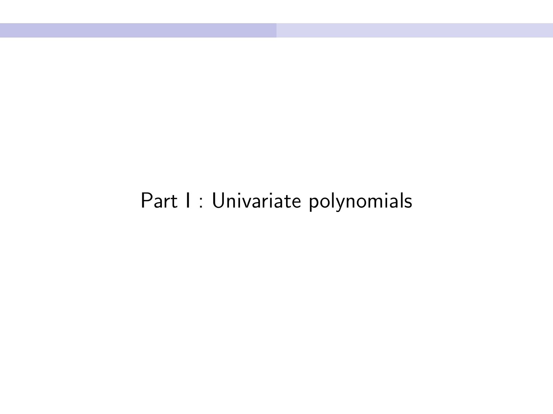# Part I : Univariate polynomials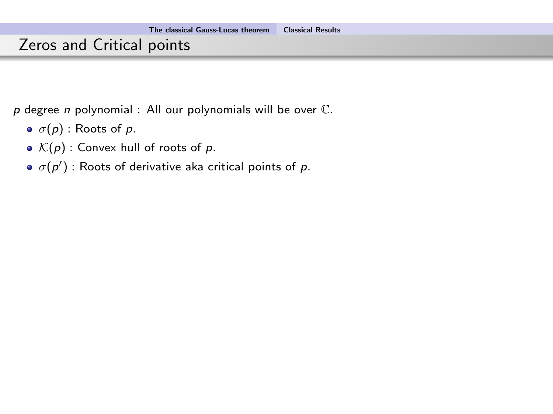<span id="page-3-0"></span> $p$  degree n polynomial : All our polynomials will be over  $\mathbb{C}$ .

- $\sigma(p)$ : Roots of p.
- $K(p)$  : Convex hull of roots of p.
- $\sigma(p')$  : Roots of derivative aka critical points of  $p$ .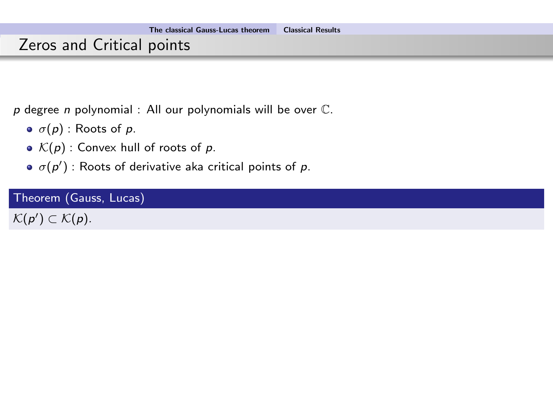$p$  degree n polynomial : All our polynomials will be over  $\mathbb{C}$ .

- $\sigma(p)$ : Roots of p.
- $K(p)$  : Convex hull of roots of p.
- $\sigma(p')$  : Roots of derivative aka critical points of  $p$ .

Theorem (Gauss, Lucas)

 $\mathcal{K}(p') \subset \mathcal{K}(p).$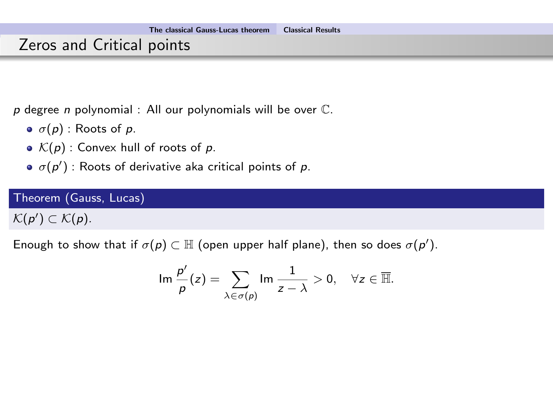$p$  degree n polynomial : All our polynomials will be over  $\mathbb{C}$ .

- $\sigma(p)$ : Roots of p.
- $\mathcal{K}(p)$  : Convex hull of roots of p.
- $\sigma(p')$  : Roots of derivative aka critical points of  $p$ .

#### Theorem (Gauss, Lucas)

 $\mathcal{K}(p') \subset \mathcal{K}(p).$ 

Enough to show that if  $\sigma(p) \subset \mathbb{H}$  (open upper half plane), then so does  $\sigma(p').$ 

$$
\text{Im}\,\frac{p'}{p}(z)=\sum_{\lambda\in\sigma(p)}\text{Im}\,\frac{1}{z-\lambda}>0,\quad\forall z\in\overline{\mathbb{H}}.
$$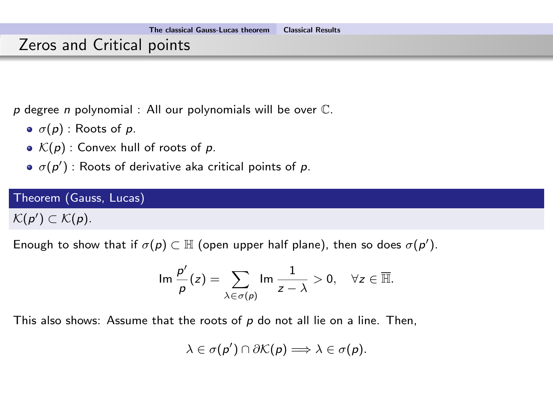$p$  degree n polynomial : All our polynomials will be over  $\mathbb{C}$ .

- $\sigma(p)$ : Roots of p.
- $\mathcal{K}(p)$  : Convex hull of roots of p.
- $\sigma(p')$  : Roots of derivative aka critical points of  $p$ .

#### Theorem (Gauss, Lucas)

 $\mathcal{K}(p') \subset \mathcal{K}(p).$ 

Enough to show that if  $\sigma(p) \subset \mathbb{H}$  (open upper half plane), then so does  $\sigma(p').$ 

$$
\text{Im}\,\frac{p'}{p}(z)=\sum_{\lambda\in\sigma(p)}\text{Im}\,\frac{1}{z-\lambda}>0,\quad\forall z\in\overline{\mathbb{H}}.
$$

This also shows: Assume that the roots of  $p$  do not all lie on a line. Then,

$$
\lambda\in\sigma(p')\cap\partial\mathcal{K}(p)\Longrightarrow\lambda\in\sigma(p).
$$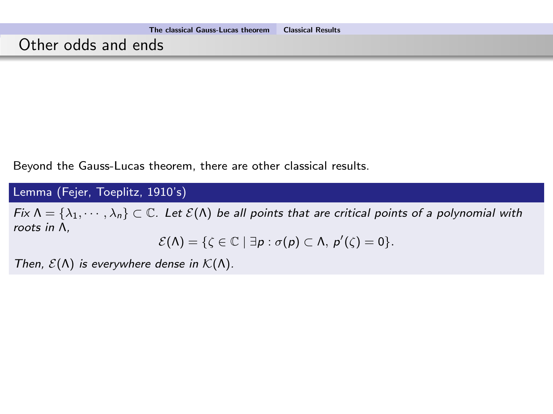### Other odds and ends

Beyond the Gauss-Lucas theorem, there are other classical results.

Lemma (Fejer, Toeplitz, 1910's) Fix  $\Lambda = \{\lambda_1, \dots, \lambda_n\} \subset \mathbb{C}$ . Let  $\mathcal{E}(\Lambda)$  be all points that are critical points of a polynomial with roots in Λ,  $\mathcal{E}(\Lambda) = \{ \zeta \in \mathbb{C} \mid \exists p : \sigma(p) \subset \Lambda, \ p'(\zeta) = 0 \}.$ 

Then,  $\mathcal{E}(\Lambda)$  is everywhere dense in  $\mathcal{K}(\Lambda)$ .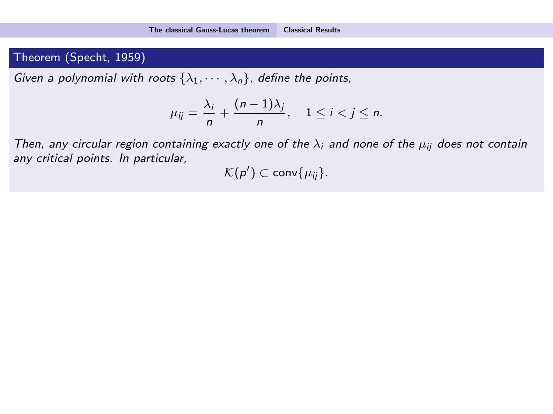#### Theorem (Specht, 1959)

Given a polynomial with roots  $\{\lambda_1, \dots, \lambda_n\}$ , define the points,

$$
\mu_{ij}=\frac{\lambda_i}{n}+\frac{(n-1)\lambda_j}{n}, \quad 1\leq i
$$

Then, any circular region containing exactly one of the  $\lambda_i$  and none of the  $\mu_{ii}$  does not contain any critical points. In particular,

 $\mathcal{K}(p') \subset \mathsf{conv}\{\mu_{ij}\}.$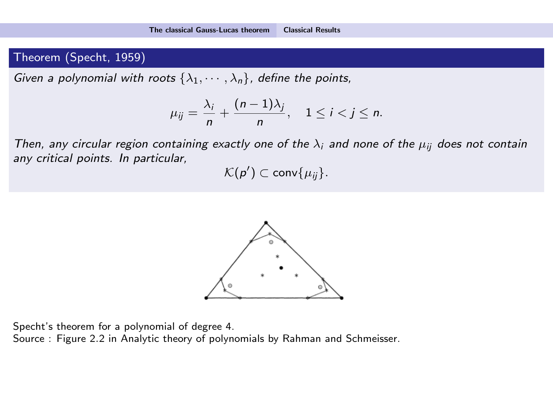#### Theorem (Specht, 1959)

Given a polynomial with roots  $\{\lambda_1, \dots, \lambda_n\}$ , define the points,

$$
\mu_{ij}=\frac{\lambda_i}{n}+\frac{(n-1)\lambda_j}{n}, \quad 1\leq i
$$

Then, any circular region containing exactly one of the  $\lambda_i$  and none of the  $\mu_{ii}$  does not contain any critical points. In particular,

 $\mathcal{K}(p') \subset \mathsf{conv}\{\mu_{ij}\}.$ 



Specht's theorem for a polynomial of degree 4.

Source : Figure 2.2 in Analytic theory of polynomials by Rahman and Schmeisser.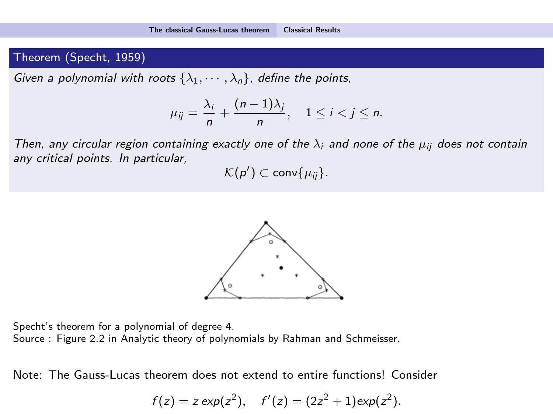#### Theorem (Specht, 1959)

Given a polynomial with roots  $\{\lambda_1, \dots, \lambda_n\}$ , define the points,

$$
\mu_{ij}=\frac{\lambda_i}{n}+\frac{(n-1)\lambda_j}{n}, \quad 1\leq i
$$

Then, any circular region containing exactly one of the  $\lambda_i$  and none of the  $\mu_{ii}$  does not contain any critical points. In particular,

 $\mathcal{K}(p') \subset \mathsf{conv}\{\mu_{ij}\}.$ 



Specht's theorem for a polynomial of degree 4.

Source : Figure 2.2 in Analytic theory of polynomials by Rahman and Schmeisser.

Note: The Gauss-Lucas theorem does not extend to entire functions! Consider

$$
f(z) = z \exp(z^2)
$$
,  $f'(z) = (2z^2 + 1) \exp(z^2)$ .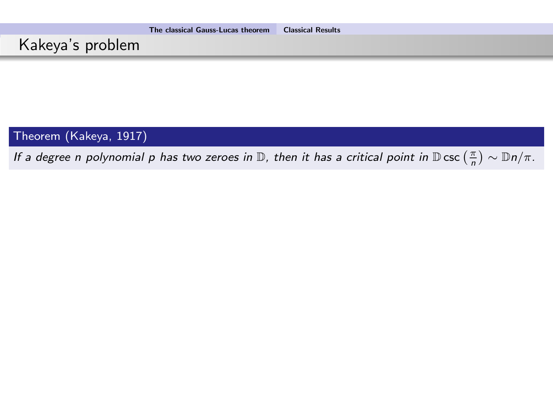# Kakeya's problem

Theorem (Kakeya, 1917)

If a degree n polynomial p has two zeroes in  $\mathbb D$ , then it has a critical point in  $\mathbb D$  csc  $(\frac\pi n)\sim \mathbb D n/\pi$ .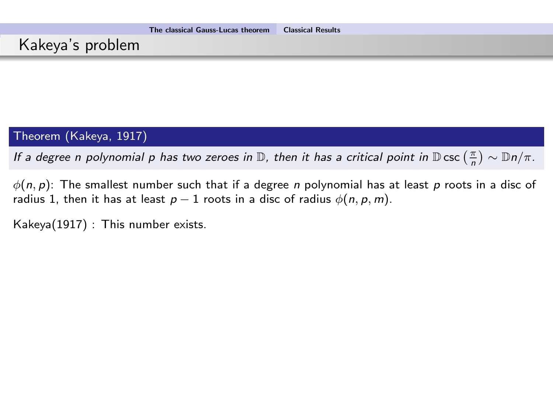# Kakeya's problem

### Theorem (Kakeya, 1917)

If a degree n polynomial p has two zeroes in  $\mathbb D$ , then it has a critical point in  $\mathbb D$  csc  $(\frac\pi n)\sim \mathbb D n/\pi$ .

 $\phi(n, p)$ : The smallest number such that if a degree n polynomial has at least p roots in a disc of radius 1, then it has at least  $p - 1$  roots in a disc of radius  $\phi(n, p, m)$ .

Kakeya(1917) : This number exists.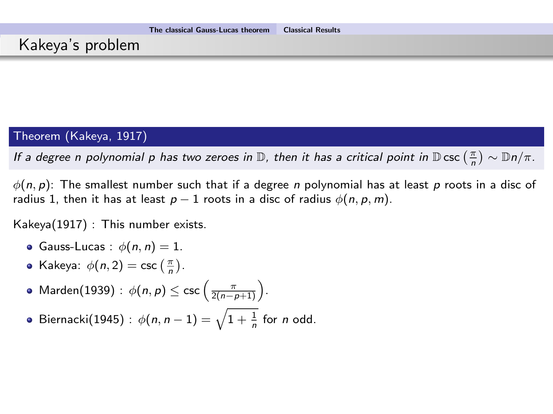# Kakeya's problem

#### Theorem (Kakeya, 1917)

If a degree n polynomial p has two zeroes in  $\mathbb D$ , then it has a critical point in  $\mathbb D$  csc  $(\frac\pi n)\sim \mathbb D n/\pi$ .

 $\phi(n, p)$ : The smallest number such that if a degree n polynomial has at least p roots in a disc of radius 1, then it has at least  $p - 1$  roots in a disc of radius  $\phi(n, p, m)$ .

Kakeya(1917) : This number exists.

- Gauss-Lucas :  $\phi(n, n) = 1$ .
- Kakeya:  $\phi(n,2) = \csc\left(\frac{\pi}{n}\right)$ .
- $\mathsf{Marden}(1939) : \ \phi(n,p) \leq \csc\left(\frac{\pi}{2(n-p+1)}\right).$
- Biernacki $(1945)$  :  $\phi(n,n-1)=\sqrt{1+\frac{1}{n}}$  for n odd.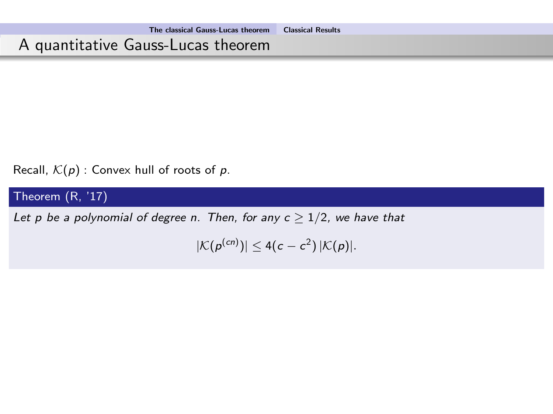Recall,  $K(p)$ : Convex hull of roots of p.

Theorem (R, '17)

Let p be a polynomial of degree n. Then, for any  $c \geq 1/2$ , we have that

 $|\mathcal{K}(p^{(cn)})| \leq 4(c-c^2)|\mathcal{K}(p)|.$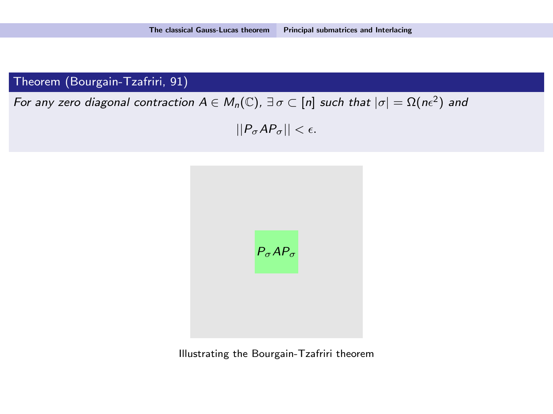#### <span id="page-15-0"></span>Theorem (Bourgain-Tzafriri, 91)

For any zero diagonal contraction  $A\in M_n(\mathbb{C}),$   $\exists\,\sigma\subset [n]$  such that  $|\sigma|=\Omega(n\epsilon^2)$  and

 $||P_{\sigma}AP_{\sigma}|| < \epsilon.$ 



Illustrating the Bourgain-Tzafriri theorem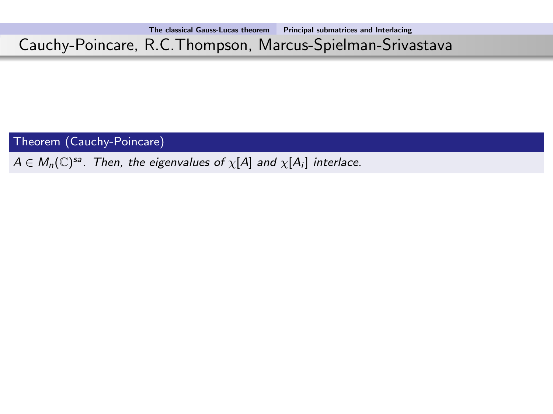# Cauchy-Poincare, R.C.Thompson, Marcus-Spielman-Srivastava

Theorem (Cauchy-Poincare)

 $A \in M_n(\mathbb{C})^{\mathsf{sa}}$ . Then, the eigenvalues of  $\chi[A]$  and  $\chi[A_i]$  interlace.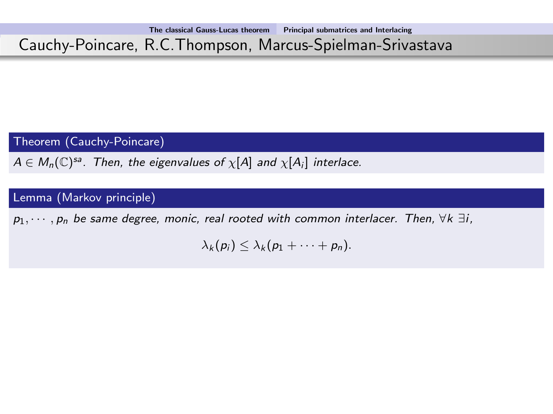# Cauchy-Poincare, R.C.Thompson, Marcus-Spielman-Srivastava

Theorem (Cauchy-Poincare)

 $A \in M_n(\mathbb{C})^{\mathsf{sa}}$ . Then, the eigenvalues of  $\chi[A]$  and  $\chi[A_i]$  interlace.

Lemma (Markov principle)

 $p_1, \dots, p_n$  be same degree, monic, real rooted with common interlacer. Then,  $\forall k \exists i$ ,

 $\lambda_k(p_i) \leq \lambda_k(p_1 + \cdots + p_n).$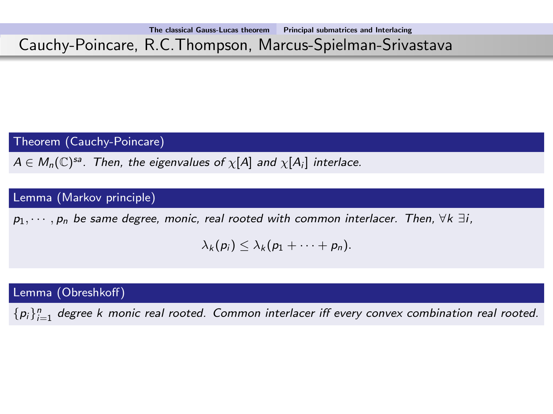# Cauchy-Poincare, R.C.Thompson, Marcus-Spielman-Srivastava

Theorem (Cauchy-Poincare)

 $A \in M_n(\mathbb{C})^{\mathsf{sa}}$ . Then, the eigenvalues of  $\chi[A]$  and  $\chi[A_i]$  interlace.

#### Lemma (Markov principle)

 $p_1, \dots, p_n$  be same degree, monic, real rooted with common interlacer. Then,  $\forall k \exists i$ ,

$$
\lambda_k(p_i)\leq \lambda_k(p_1+\cdots+p_n).
$$

Lemma (Obreshkoff)

 $\{p_i\}_{i=1}^n$  degree k monic real rooted. Common interlacer iff every convex combination real rooted.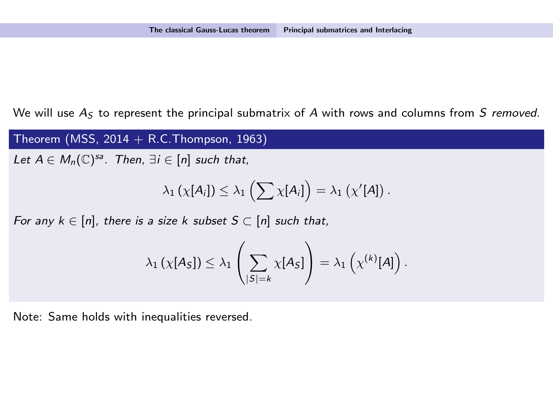We will use  $A<sub>S</sub>$  to represent the principal submatrix of A with rows and columns from S removed.

Theorem (MSS,  $2014 + R.C.T$ hompson, 1963)

Let  $A \in M_n(\mathbb{C})^{sa}$ . Then,  $\exists i \in [n]$  such that,

$$
\lambda_1(\chi[A_i]) \leq \lambda_1\left(\sum \chi[A_i]\right) = \lambda_1\left(\chi'[A]\right).
$$

For any  $k \in [n]$ , there is a size k subset  $S \subset [n]$  such that,

$$
\lambda_1\left(\chi[A_S]\right)\leq \lambda_1\left(\sum_{|S|=k}\chi[A_S]\right)=\lambda_1\left(\chi^{(k)}[A]\right).
$$

Note: Same holds with inequalities reversed.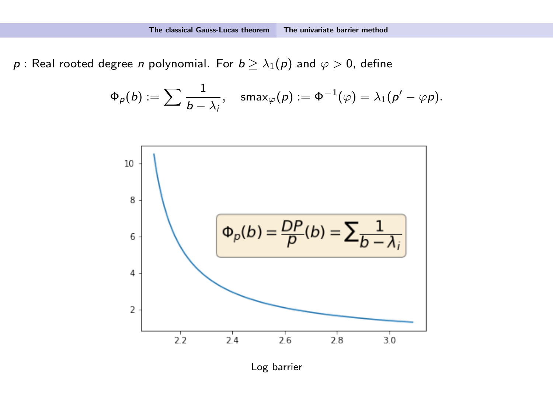<span id="page-20-0"></span> $p$  : Real rooted degree n polynomial. For  $b \geq \lambda_1(p)$  and  $\varphi > 0$ , define

$$
\Phi_{\rho}(b):=\sum \frac{1}{b-\lambda_i}, \quad \mathsf{smax}_{\varphi}(\rho):=\Phi^{-1}(\varphi)=\lambda_1(\rho'-\varphi\rho).
$$



Log barrier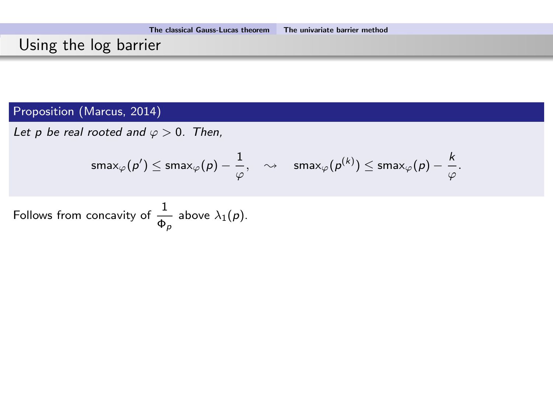# Using the log barrier

#### Proposition (Marcus, 2014)

Let p be real rooted and  $\varphi > 0$ . Then,

$$
\mathsf{smax}_{\varphi}(p') \leq \mathsf{smax}_{\varphi}(p) - \frac{1}{\varphi}, \quad \rightsquigarrow \quad \mathsf{smax}_{\varphi}(p^{(k)}) \leq \mathsf{smax}_{\varphi}(p) - \frac{k}{\varphi}.
$$

Follows from concavity of  $\frac{1}{\Phi_p}$  above  $\lambda_1(p)$ .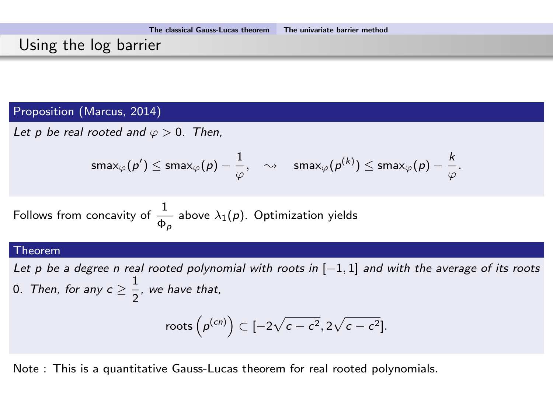### Using the log barrier

#### Proposition (Marcus, 2014)

Let p be real rooted and  $\varphi > 0$ . Then,

$$
\mathsf{smax}_\varphi(\rho')\le \mathsf{smax}_\varphi(\rho)-\frac{1}{\varphi},\quad\leadsto\quad \mathsf{smax}_\varphi(\rho^{(k)})\le \mathsf{smax}_\varphi(\rho)-\frac{k}{\varphi}
$$

.

Follows from concavity of  $\frac{1}{\Phi_{\rho}}$  above  $\lambda_{1}(\rho)$ . Optimization yields

#### Theorem

Let p be a degree n real rooted polynomial with roots in  $[-1, 1]$  and with the average of its roots 0. Then, for any  $c\geq \frac{1}{2}$  $\frac{1}{2}$ , we have that,

roots 
$$
(p^{(cn)}) \subset [-2\sqrt{c-c^2}, 2\sqrt{c-c^2}]
$$
.

Note : This is a quantitative Gauss-Lucas theorem for real rooted polynomials.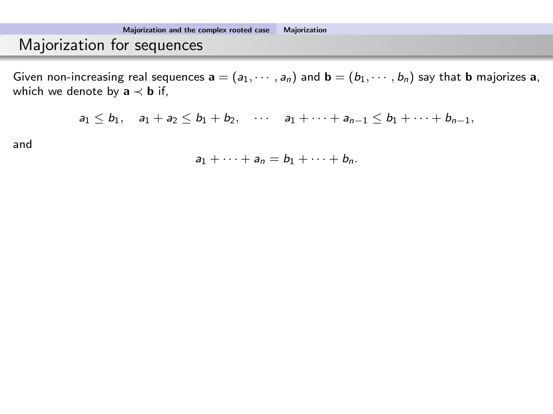<span id="page-23-0"></span>Given non-increasing real sequences  $\mathbf{a} = (a_1, \dots, a_n)$  and  $\mathbf{b} = (b_1, \dots, b_n)$  say that  $\mathbf{b}$  majorizes  $\mathbf{a}$ , which we denote by  $a \prec b$  if,

$$
a_1 \leq b_1
$$
,  $a_1 + a_2 \leq b_1 + b_2$ ,  $\cdots$   $a_1 + \cdots + a_{n-1} \leq b_1 + \cdots + b_{n-1}$ ,

and

$$
a_1+\cdots+a_n=b_1+\cdots+b_n.
$$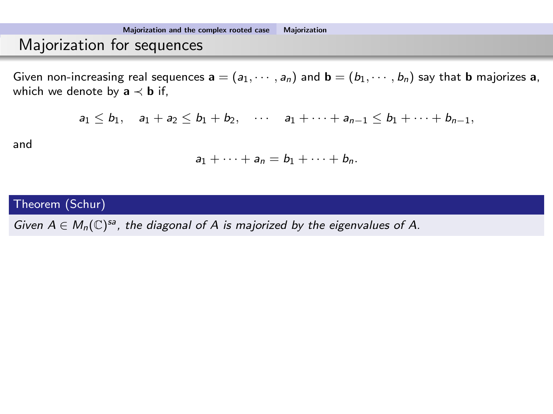Given non-increasing real sequences  $\mathbf{a} = (a_1, \dots, a_n)$  and  $\mathbf{b} = (b_1, \dots, b_n)$  say that  $\mathbf{b}$  majorizes  $\mathbf{a}$ , which we denote by  $a \prec b$  if,

$$
a_1 \leq b_1
$$
,  $a_1 + a_2 \leq b_1 + b_2$ ,  $\cdots$   $a_1 + \cdots + a_{n-1} \leq b_1 + \cdots + b_{n-1}$ ,

and

$$
a_1+\cdots+a_n=b_1+\cdots+b_n.
$$

#### Theorem (Schur)

Given  $A \in M_n(\mathbb{C})^{sa}$ , the diagonal of A is majorized by the eigenvalues of A.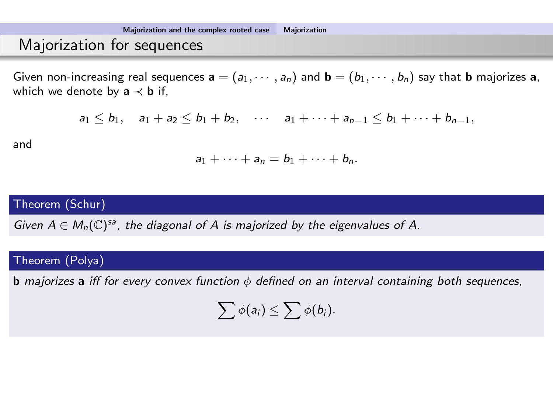Given non-increasing real sequences  $\mathbf{a} = (a_1, \dots, a_n)$  and  $\mathbf{b} = (b_1, \dots, b_n)$  say that  $\mathbf{b}$  majorizes  $\mathbf{a}$ , which we denote by  $a \prec b$  if,

$$
a_1 \leq b_1
$$
,  $a_1 + a_2 \leq b_1 + b_2$ ,  $\cdots$   $a_1 + \cdots + a_{n-1} \leq b_1 + \cdots + b_{n-1}$ ,

and

$$
a_1+\cdots+a_n=b_1+\cdots+b_n.
$$

#### Theorem (Schur)

Given  $A \in M_n(\mathbb{C})^{sa}$ , the diagonal of A is majorized by the eigenvalues of A.

#### Theorem (Polya)

**b** majorizes a iff for every convex function  $\phi$  defined on an interval containing both sequences,

$$
\sum \phi(a_i) \leq \sum \phi(b_i).
$$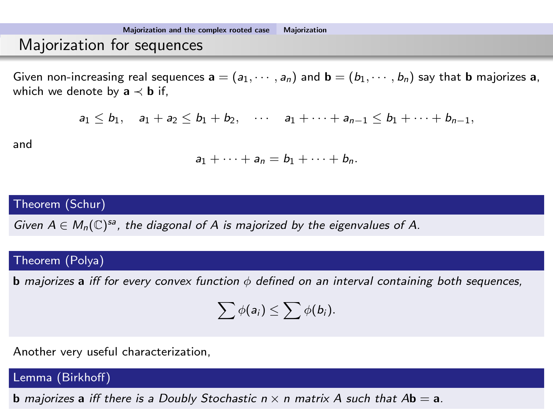Given non-increasing real sequences  $\mathbf{a} = (a_1, \dots, a_n)$  and  $\mathbf{b} = (b_1, \dots, b_n)$  say that  $\mathbf{b}$  majorizes  $\mathbf{a}$ , which we denote by  $a \prec b$  if,

$$
a_1 \leq b_1
$$
,  $a_1 + a_2 \leq b_1 + b_2$ ,  $\cdots$   $a_1 + \cdots + a_{n-1} \leq b_1 + \cdots + b_{n-1}$ ,

and

$$
a_1+\cdots+a_n=b_1+\cdots+b_n.
$$

#### Theorem (Schur)

Given  $A \in M_n(\mathbb{C})^{sa}$ , the diagonal of A is majorized by the eigenvalues of A.

#### Theorem (Polya)

**b** majorizes a iff for every convex function  $\phi$  defined on an interval containing both sequences,

$$
\sum \phi(a_i) \leq \sum \phi(b_i).
$$

Another very useful characterization,

#### Lemma (Birkhoff)

**b** majorizes a iff there is a Doubly Stochastic  $n \times n$  matrix A such that Ab = a.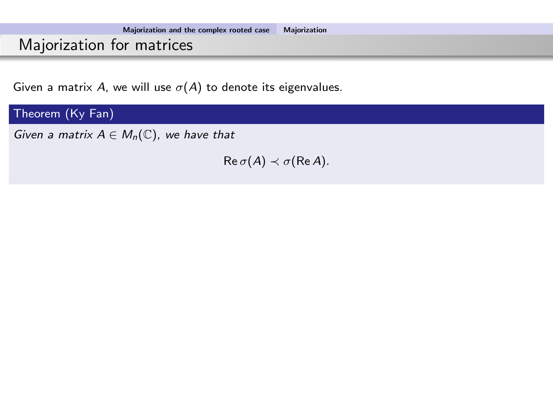Given a matrix A, we will use  $\sigma(A)$  to denote its eigenvalues.

# Theorem (Ky Fan) Given a matrix  $A \in M_n(\mathbb{C})$ , we have that  $\text{Re}\,\sigma(A) \prec \sigma(\text{Re}\,A).$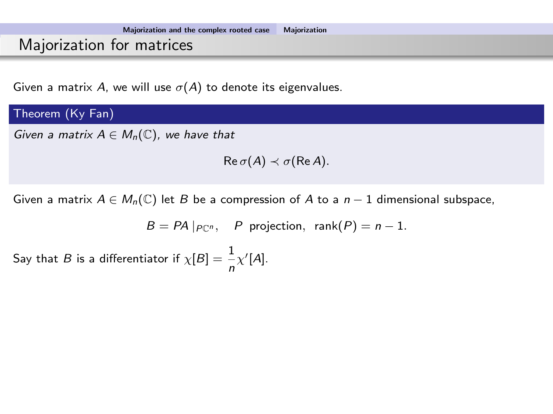Given a matrix A, we will use  $\sigma(A)$  to denote its eigenvalues.

Theorem (Ky Fan)

Given a matrix  $A \in M_n(\mathbb{C})$ , we have that

$$
\operatorname{Re}\sigma(A)\prec\sigma(\operatorname{Re}A).
$$

Given a matrix  $A \in M_n(\mathbb{C})$  let B be a compression of A to a  $n-1$  dimensional subspace,

$$
B = PA |_{P\mathbb{C}^n}, \quad P \text{ projection}, \ \text{rank}(P) = n - 1.
$$

Say that  $B$  is a differentiator if  $\chi[B] = \frac{1}{n}\chi'[A].$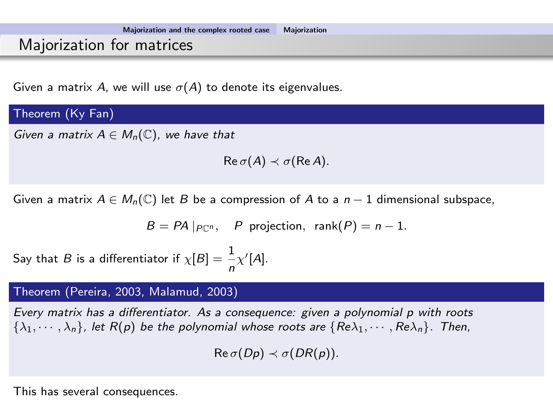Given a matrix A, we will use  $\sigma(A)$  to denote its eigenvalues.

Theorem (Ky Fan)

Given a matrix  $A \in M_n(\mathbb{C})$ , we have that

$$
\operatorname{Re}\sigma(A)\prec\sigma(\operatorname{Re}A).
$$

Given a matrix  $A \in M_n(\mathbb{C})$  let B be a compression of A to a  $n-1$  dimensional subspace,

$$
B = PA |_{P\mathbb{C}^n}, \quad P \text{ projection}, \ \text{rank}(P) = n - 1.
$$

Say that  $B$  is a differentiator if  $\chi[B] = \frac{1}{n}\chi'[A].$ 

#### Theorem (Pereira, 2003, Malamud, 2003)

Every matrix has a differentiator. As a consequence: given a polynomial p with roots  $\{\lambda_1, \cdots, \lambda_n\}$ , let  $R(p)$  be the polynomial whose roots are  $\{Re\lambda_1, \cdots, Re\lambda_n\}$ . Then,

 $\text{Re}\,\sigma(Dp) \prec \sigma(DR(p)).$ 

This has several consequences.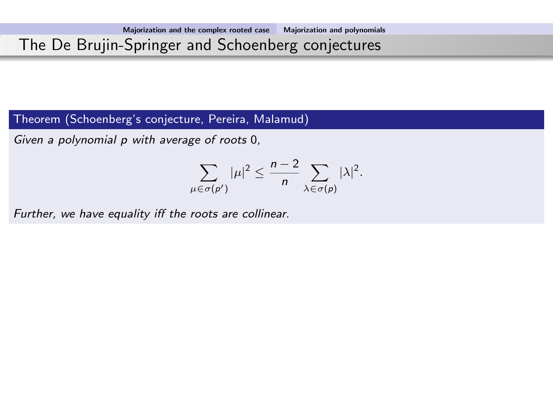# <span id="page-30-0"></span>The De Brujin-Springer and Schoenberg conjectures

Theorem (Schoenberg's conjecture, Pereira, Malamud)

Given a polynomial p with average of roots 0,

$$
\sum_{\mu \in \sigma(p')} |\mu|^2 \leq \frac{n-2}{n} \sum_{\lambda \in \sigma(p)} |\lambda|^2.
$$

Further, we have equality iff the roots are collinear.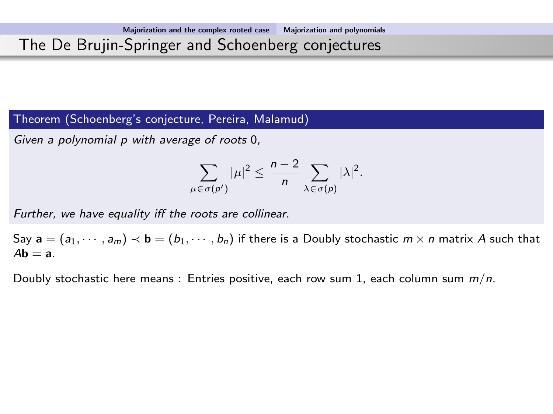# The De Brujin-Springer and Schoenberg conjectures

Theorem (Schoenberg's conjecture, Pereira, Malamud)

Given a polynomial p with average of roots 0,

$$
\sum_{\mu \in \sigma(p')} |\mu|^2 \leq \frac{n-2}{n} \sum_{\lambda \in \sigma(p)} |\lambda|^2.
$$

Further, we have equality iff the roots are collinear.

Say  $\mathbf{a} = (a_1, \dots, a_m) \prec \mathbf{b} = (b_1, \dots, b_n)$  if there is a Doubly stochastic  $m \times n$  matrix A such that  $Ab = a$ .

Doubly stochastic here means : Entries positive, each row sum 1, each column sum  $m/n$ .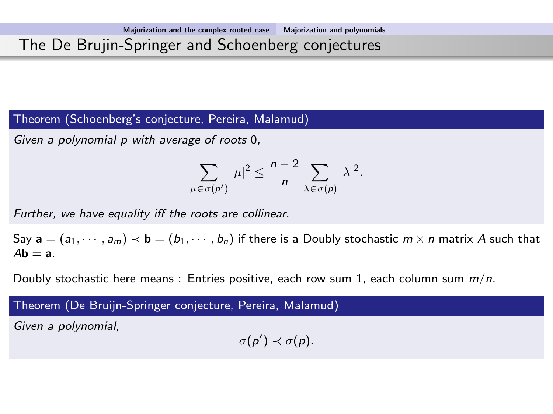# The De Brujin-Springer and Schoenberg conjectures

Theorem (Schoenberg's conjecture, Pereira, Malamud)

Given a polynomial p with average of roots 0,

$$
\sum_{\mu \in \sigma(p')} |\mu|^2 \leq \frac{n-2}{n} \sum_{\lambda \in \sigma(p)} |\lambda|^2.
$$

Further, we have equality iff the roots are collinear.

Say  $\mathbf{a} = (a_1, \dots, a_m) \prec \mathbf{b} = (b_1, \dots, b_n)$  if there is a Doubly stochastic  $m \times n$  matrix A such that  $Ab = a$ .

Doubly stochastic here means : Entries positive, each row sum 1, each column sum  $m/n$ .

Theorem (De Bruijn-Springer conjecture, Pereira, Malamud)

Given a polynomial,

 $\sigma(p') \prec \sigma(p).$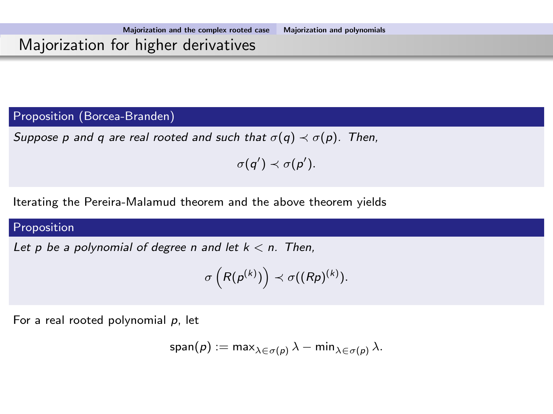# Majorization for higher derivatives

#### Proposition (Borcea-Branden)

Suppose p and q are real rooted and such that  $\sigma(q) \prec \sigma(p)$ . Then,

 $\sigma(q') \prec \sigma(p').$ 

Iterating the Pereira-Malamud theorem and the above theorem yields

#### Proposition

Let p be a polynomial of degree n and let  $k < n$ . Then,

$$
\sigma\left(R(p^{(k)})\right) \prec \sigma((Rp)^{(k)}).
$$

For a real rooted polynomial  $p$ , let

$$
\text{span}(p) := \max_{\lambda \in \sigma(p)} \lambda - \min_{\lambda \in \sigma(p)} \lambda.
$$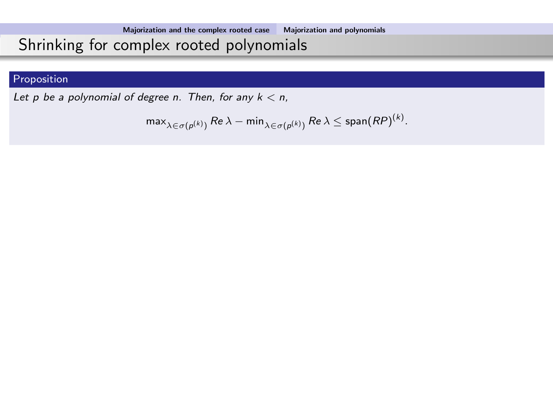# Shrinking for complex rooted polynomials

#### **Proposition**

Let p be a polynomial of degree n. Then, for any  $k < n$ ,

$$
\mathsf{max}_{\lambda \in \sigma(p^{(k)})} Re \lambda - \mathsf{min}_{\lambda \in \sigma(p^{(k)})} Re \lambda \leq \mathsf{span}(RP)^{(k)}.
$$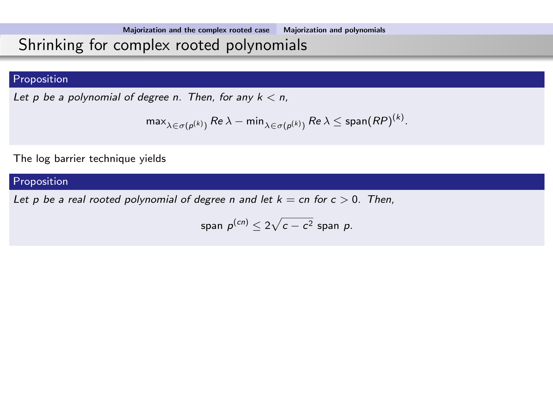# Shrinking for complex rooted polynomials

#### Proposition

Let p be a polynomial of degree n. Then, for any  $k < n$ ,

$$
\mathsf{max}_{\lambda \in \sigma(\rho^{(k)})} \mathit{Re} \, \lambda - \mathsf{min}_{\lambda \in \sigma(\rho^{(k)})} \mathit{Re} \, \lambda \leq \mathsf{span}(\mathit{RP})^{(k)}.
$$

The log barrier technique yields

#### **Proposition**

Let p be a real rooted polynomial of degree n and let  $k = cn$  for  $c > 0$ . Then,

$$
\text{span } p^{(cn)} \leq 2\sqrt{c-c^2} \text{ span } p.
$$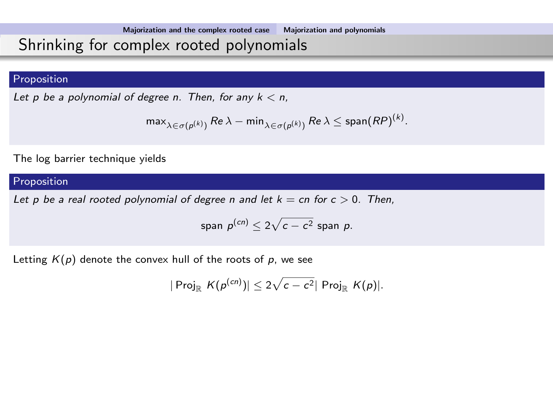### Shrinking for complex rooted polynomials

#### Proposition

Let p be a polynomial of degree n. Then, for any  $k < n$ ,

$$
\mathsf{max}_{\lambda \in \sigma(\rho^{(k)})} \mathit{Re} \, \lambda - \mathsf{min}_{\lambda \in \sigma(\rho^{(k)})} \mathit{Re} \, \lambda \leq \mathsf{span}(\mathit{RP})^{(k)}.
$$

The log barrier technique yields

#### Proposition

Let p be a real rooted polynomial of degree n and let  $k = cn$  for  $c > 0$ . Then,

$$
\text{span } \rho^{(cn)} \leq 2\sqrt{c-c^2} \text{ span } p.
$$

Letting  $K(p)$  denote the convex hull of the roots of p, we see

$$
|\operatorname{Proj}_{\mathbb{R}} K(p^{(cn)})| \leq 2\sqrt{c-c^2} |\operatorname{Proj}_{\mathbb{R}} K(p)|.
$$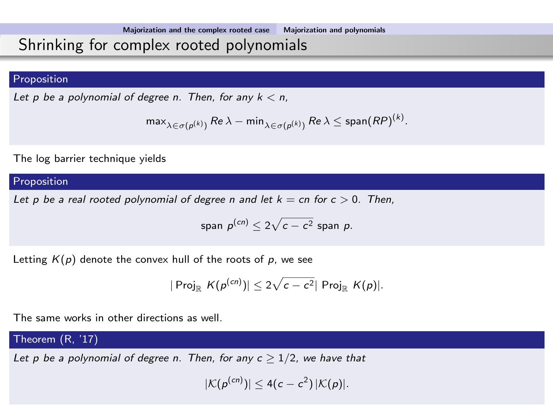### Shrinking for complex rooted polynomials

#### Proposition

Let p be a polynomial of degree n. Then, for any  $k < n$ ,

$$
\mathsf{max}_{\lambda \in \sigma(\rho^{(k)})} \mathit{Re} \, \lambda - \mathsf{min}_{\lambda \in \sigma(\rho^{(k)})} \mathit{Re} \, \lambda \leq \mathsf{span}(\mathit{RP})^{(k)}.
$$

The log barrier technique yields

#### Proposition

Let p be a real rooted polynomial of degree n and let  $k = cn$  for  $c > 0$ . Then,

$$
\text{span } p^{(cn)} \leq 2\sqrt{c-c^2} \text{ span } p.
$$

Letting  $K(p)$  denote the convex hull of the roots of p, we see

$$
|\operatorname{Proj}_{\mathbb{R}} K(p^{(cn)})| \leq 2\sqrt{c-c^2} |\operatorname{Proj}_{\mathbb{R}} K(p)|.
$$

The same works in other directions as well.

#### Theorem (R, '17)

Let p be a polynomial of degree n. Then, for any  $c > 1/2$ , we have that

$$
|\mathcal{K}(p^{(cn)})| \leq 4(c-c^2)|\mathcal{K}(p)|.
$$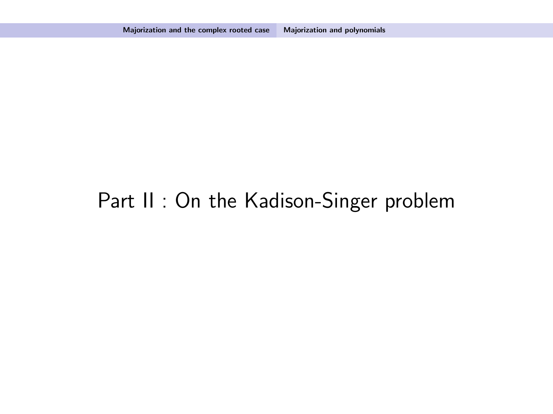# Part II : On the Kadison-Singer problem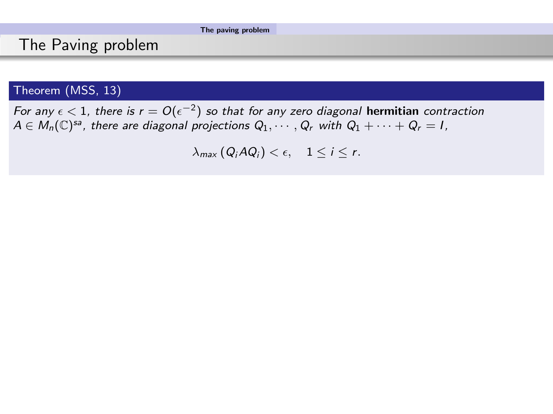### <span id="page-39-0"></span>The Paving problem

#### Theorem (MSS, 13)

For any  $\epsilon < 1$ , there is  $r = O(\epsilon^{-2})$  so that for any zero diagonal <code>hermitian</code> contraction  $A\in M_n(\mathbb{C})^{\mathsf{sa}}$ , there are diagonal projections  $Q_1,\cdots,Q_r$  with  $Q_1+\cdots+Q_r=I$ ,

 $\lambda_{\text{max}} (Q_i A Q_i) < \epsilon, \quad 1 \leq i \leq r.$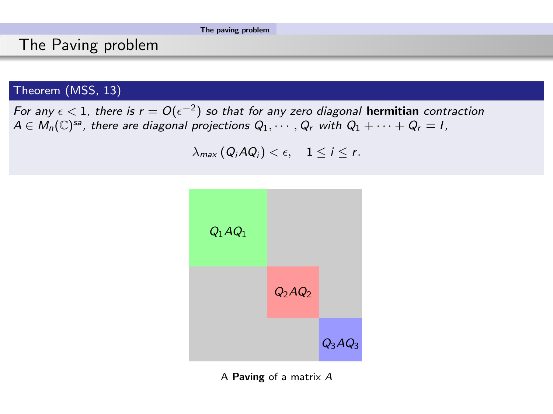### The Paving problem

#### Theorem (MSS, 13)

For any  $\epsilon < 1$ , there is  $r = O(\epsilon^{-2})$  so that for any zero diagonal <code>hermitian</code> contraction  $A\in M_n(\mathbb{C})^{\mathsf{sa}}$ , there are diagonal projections  $Q_1,\cdots,Q_r$  with  $Q_1+\cdots+Q_r=I$ ,

 $\lambda_{\text{max}} (Q_i A Q_i) < \epsilon, \quad 1 \leq i \leq r.$ 



A Paving of a matrix A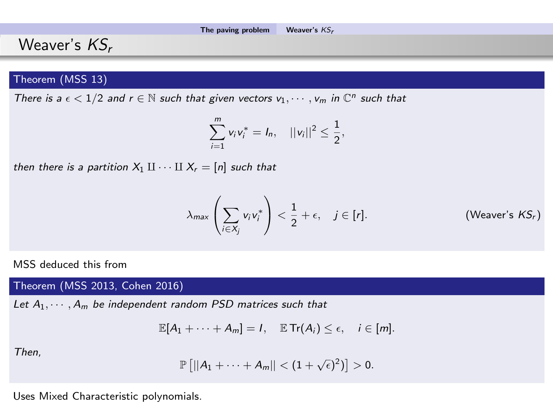### <span id="page-41-0"></span>Weaver's  $KS_r$

#### Theorem (MSS 13)

There is a  $\epsilon < 1/2$  and  $r \in \mathbb{N}$  such that given vectors  $v_1, \dots, v_m$  in  $\mathbb{C}^n$  such that

$$
\sum_{i=1}^m v_i v_i^* = I_n, \quad ||v_i||^2 \leq \frac{1}{2},
$$

then there is a partition  $X_1 \amalg \cdots \amalg X_r = [n]$  such that

$$
\lambda_{\max}\left(\sum_{i\in X_j}v_iv_i^*\right)<\frac{1}{2}+\epsilon,\quad j\in[r].\tag{Weaver's }\mathit{KS}_r
$$

MSS deduced this from

Theorem (MSS 2013, Cohen 2016)

Let  $A_1, \dots, A_m$  be independent random PSD matrices such that

$$
\mathbb{E}[A_1+\cdots+A_m]=1, \quad \mathbb{E} \operatorname{Tr}(A_i)\leq \epsilon, \quad i\in [m].
$$

Then,

$$
\mathbb{P}\left[||A_1+\cdots+A_m||<(1+\sqrt{\varepsilon})^2)\right]>0.
$$

Uses Mixed Characteristic polynomials.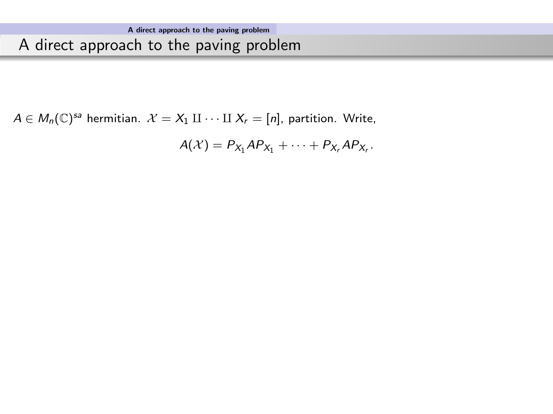### <span id="page-42-0"></span>A direct approach to the paving problem

 $A \in M_n(\mathbb{C})^{sa}$  hermitian.  $\mathcal{X} = X_1 \amalg \cdots \amalg X_r = [n]$ , partition. Write,

 $A(X) = P_{X_1}AP_{X_1} + \cdots + P_{X_r}AP_{X_r}.$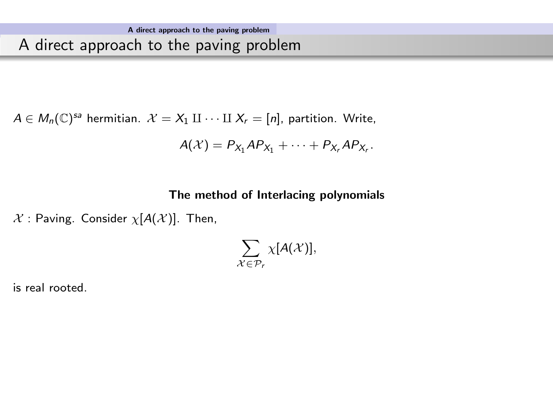### A direct approach to the paving problem

$$
A \in M_n(\mathbb{C})^{sa}
$$
 hermitian.  $\mathcal{X} = X_1 \amalg \cdots \amalg X_r = [n]$ , partition. Write,

$$
A(\mathcal{X})=P_{X_1}AP_{X_1}+\cdots+P_{X_r}AP_{X_r}.
$$

#### The method of Interlacing polynomials

 $\mathcal{X}$  : Paving. Consider  $\chi[A(\mathcal{X})]$ . Then,

$$
\sum_{\mathcal{X}\in\mathcal{P}_r}\chi[A(\mathcal{X})],
$$

is real rooted.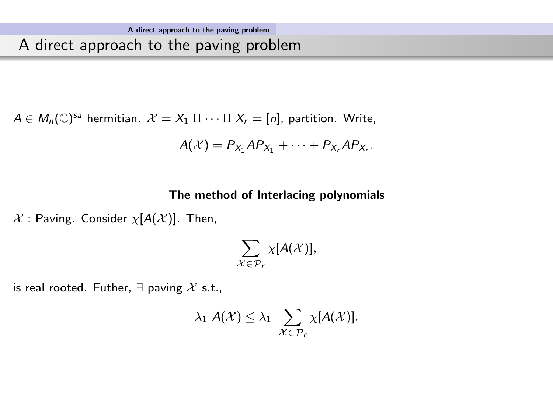### A direct approach to the paving problem

$$
A \in M_n(\mathbb{C})^{sa}
$$
 hermitian.  $\mathcal{X} = X_1 \amalg \cdots \amalg X_r = [n]$ , partition. Write,

$$
A(\mathcal{X})=P_{X_1}AP_{X_1}+\cdots+P_{X_r}AP_{X_r}.
$$

#### The method of Interlacing polynomials

 $\mathcal{X}$  : Paving. Consider  $\chi[A(\mathcal{X})]$ . Then,

$$
\sum_{\mathcal{X}\in\mathcal{P}_r}\chi[A(\mathcal{X})],
$$

is real rooted. Futher,  $\exists$  paving X s.t.,

$$
\lambda_1 A(\mathcal{X}) \leq \lambda_1 \sum_{\mathcal{X} \in \mathcal{P}_r} \chi[A(\mathcal{X})].
$$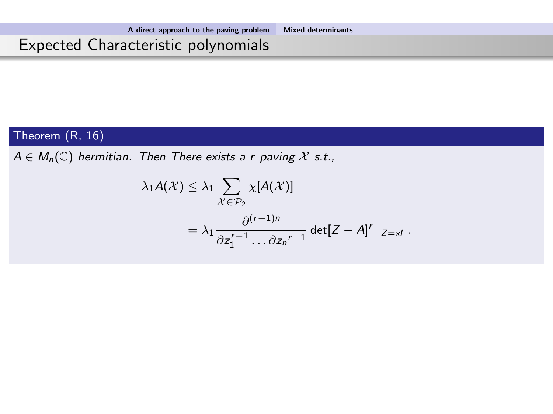### <span id="page-45-0"></span>Expected Characteristic polynomials

#### Theorem (R, 16)

 $A \in M_n(\mathbb{C})$  hermitian. Then There exists a r paving X s.t.,

$$
\lambda_1 A(\mathcal{X}) \leq \lambda_1 \sum_{\mathcal{X} \in \mathcal{P}_2} \chi[A(\mathcal{X})]
$$
  
= 
$$
\lambda_1 \frac{\partial^{(r-1)n}}{\partial z_1^{r-1} \cdots \partial z_n^{r-1}} \det[Z - A]^r |_{Z = \mathcal{X}}.
$$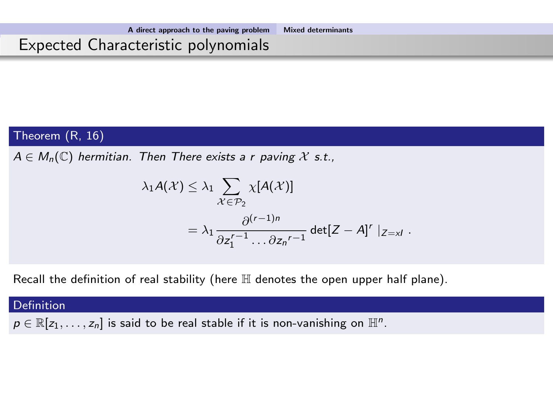## Expected Characteristic polynomials

#### Theorem (R, 16)

 $A \in M_n(\mathbb{C})$  hermitian. Then There exists a r paving X s.t.,

$$
\lambda_1 A(\mathcal{X}) \leq \lambda_1 \sum_{\mathcal{X} \in \mathcal{P}_2} \chi[A(\mathcal{X})]
$$
  
= 
$$
\lambda_1 \frac{\partial^{(r-1)n}}{\partial z_1^{r-1} \dots \partial z_n^{r-1}} \det[Z - A]^r |_{Z = \mathcal{X}}.
$$

Recall the definition of real stability (here  $\mathbb H$  denotes the open upper half plane).

#### Definition

 $p \in \mathbb{R}[z_1,\ldots,z_n]$  is said to be real stable if it is non-vanishing on  $\mathbb{H}^n$ .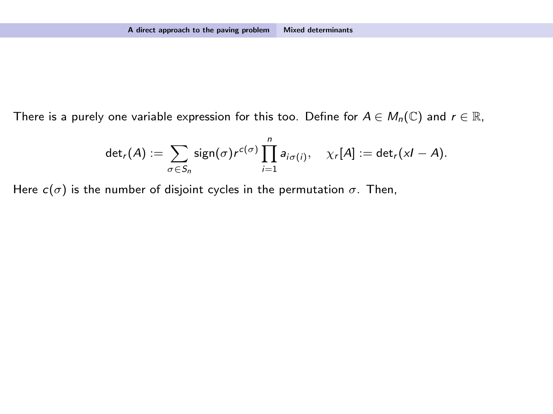There is a purely one variable expression for this too. Define for  $A \in M_n(\mathbb{C})$  and  $r \in \mathbb{R}$ ,

$$
\det_r(A) := \sum_{\sigma \in S_n} sign(\sigma) r^{c(\sigma)} \prod_{i=1}^n a_{i\sigma(i)}, \quad \chi_r[A] := \det_r(xI - A).
$$

Here  $c(\sigma)$  is the number of disjoint cycles in the permutation  $\sigma$ . Then,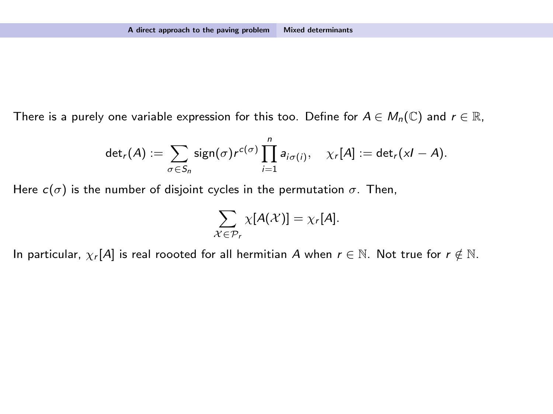There is a purely one variable expression for this too. Define for  $A \in M_n(\mathbb{C})$  and  $r \in \mathbb{R}$ ,

$$
\det_r(A) := \sum_{\sigma \in S_n} sign(\sigma) r^{c(\sigma)} \prod_{i=1}^n a_{i\sigma(i)}, \quad \chi_r[A] := \det_r(xI - A).
$$

Here  $c(\sigma)$  is the number of disjoint cycles in the permutation  $\sigma$ . Then,

$$
\sum_{\mathcal{X}\in\mathcal{P}_r}\chi[A(\mathcal{X})]=\chi_r[A].
$$

In particular,  $\chi_r[A]$  is real roooted for all hermitian A when  $r \in \mathbb{N}$ . Not true for  $r \notin \mathbb{N}$ .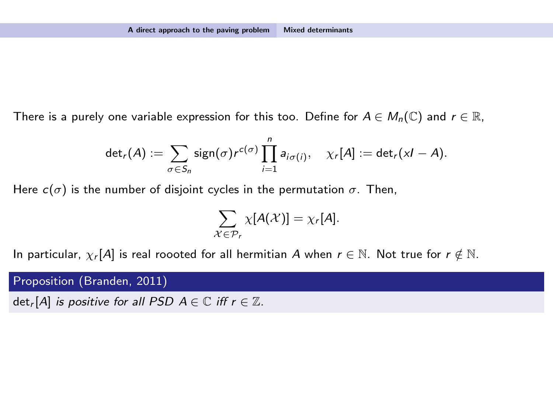There is a purely one variable expression for this too. Define for  $A \in M_n(\mathbb{C})$  and  $r \in \mathbb{R}$ ,

$$
\det_r(A) := \sum_{\sigma \in S_n} sign(\sigma) r^{c(\sigma)} \prod_{i=1}^n a_{i\sigma(i)}, \quad \chi_r[A] := \det_r(xI - A).
$$

Here  $c(\sigma)$  is the number of disjoint cycles in the permutation  $\sigma$ . Then,

$$
\sum_{\mathcal{X}\in\mathcal{P}_r}\chi[A(\mathcal{X})]=\chi_r[A].
$$

In particular,  $\chi_r[A]$  is real roooted for all hermitian A when  $r \in \mathbb{N}$ . Not true for  $r \notin \mathbb{N}$ .

Proposition (Branden, 2011)

 $det_r[A]$  is positive for all PSD  $A \in \mathbb{C}$  iff  $r \in \mathbb{Z}$ .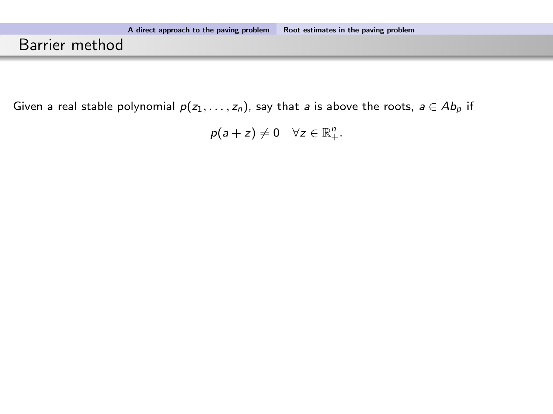### <span id="page-50-0"></span>Barrier method

Given a real stable polynomial  $p(z_1, \ldots, z_n)$ , say that a is above the roots,  $a \in Ab_p$  if

$$
p(a+z)\neq 0 \quad \forall z\in \mathbb{R}^n_+.
$$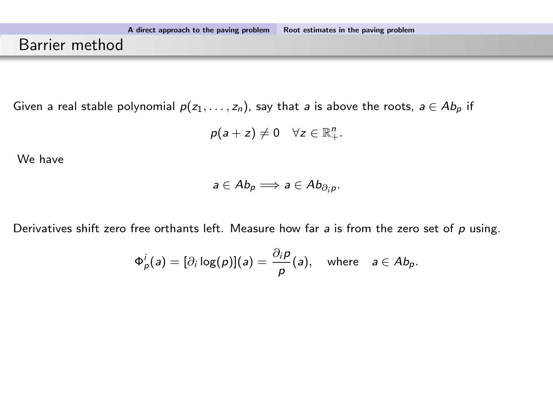### Barrier method

Given a real stable polynomial  $p(z_1, \ldots, z_n)$ , say that a is above the roots,  $a \in Ab_p$  if

$$
p(a+z)\neq 0 \quad \forall z\in \mathbb{R}^n_+.
$$

We have

$$
a\in Ab_p\Longrightarrow a\in Ab_{\partial_i p}.
$$

Derivatives shift zero free orthants left. Measure how far  $a$  is from the zero set of  $p$  using.

$$
\Phi_{\rho}^{i}(a) = [\partial_{i} \log(\rho)](a) = \frac{\partial_{i} \rho}{\rho}(a), \quad \text{where} \quad a \in Ab_{\rho}.
$$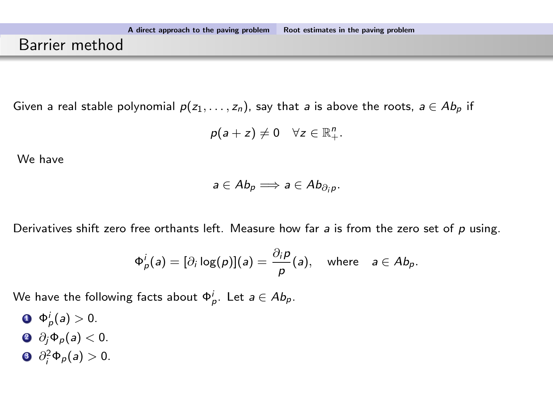### Barrier method

Given a real stable polynomial  $p(z_1, \ldots, z_n)$ , say that a is above the roots,  $a \in Ab_p$  if

$$
p(a+z)\neq 0 \quad \forall z\in \mathbb{R}^n_+.
$$

We have

$$
a\in Ab_p\Longrightarrow a\in Ab_{\partial_i p}.
$$

Derivatives shift zero free orthants left. Measure how far  $a$  is from the zero set of  $p$  using.

$$
\Phi_{\rho}^{i}(a) = [\partial_{i} \log(\rho)](a) = \frac{\partial_{i} \rho}{\rho}(a), \quad \text{where} \quad a \in Ab_{\rho}.
$$

We have the following facts about  $\Phi_p^i$ . Let  $a\in Ab_p$ .

- **1**  $\Phi_{p}^{i}(a) > 0$ .
- $\Theta$   $\partial_i \Phi_p(a) < 0$ .
- $\partial_i^2 \Phi_p(a) > 0.$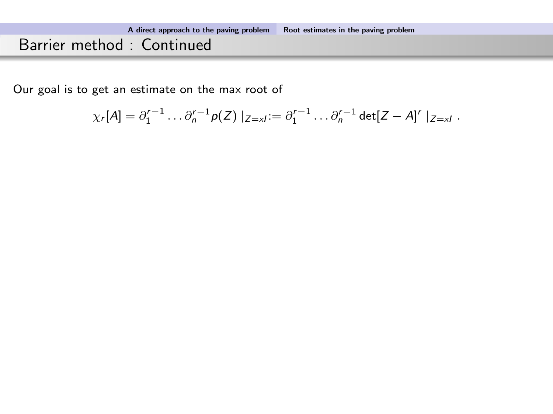$$
\chi_r[A] = \partial_1^{r-1} \dots \partial_n^{r-1} p(Z) \mid_{Z=x} := \partial_1^{r-1} \dots \partial_n^{r-1} \det[Z - A]^r \mid_{Z=x}.
$$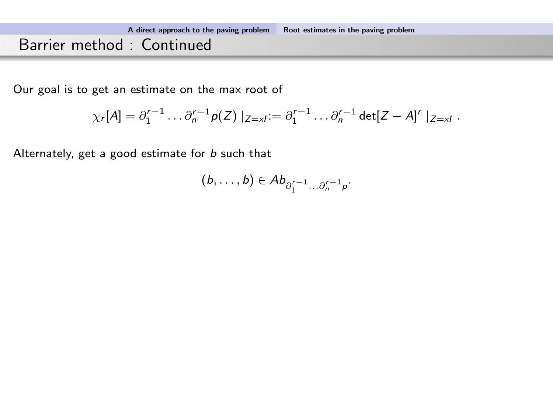$$
\chi_r[A] = \partial_1^{r-1} \dots \partial_n^{r-1} p(Z) \mid_{Z=x} = \partial_1^{r-1} \dots \partial_n^{r-1} \det[Z - A]^r \mid_{Z=x}.
$$

Alternately, get a good estimate for  $b$  such that

$$
(b,\ldots,b)\in Ab_{\partial_1^{r-1}\ldots\partial_n^{r-1}p}.
$$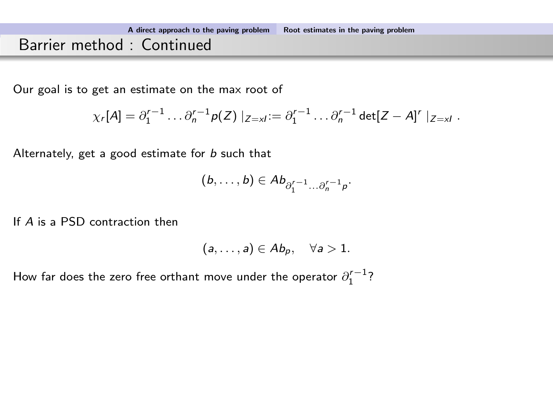$$
\chi_r[A] = \partial_1^{r-1} \dots \partial_n^{r-1} p(Z) \mid_{Z=x} = \partial_1^{r-1} \dots \partial_n^{r-1} \det[Z - A]^r \mid_{Z=x}.
$$

Alternately, get a good estimate for  $b$  such that

$$
(b,\ldots,b)\in Ab_{\partial_1^{r-1}\ldots\partial_n^{r-1}p}.
$$

If A is a PSD contraction then

$$
(a,\ldots,a)\in Ab_p,\quad \forall a>1.
$$

How far does the zero free orthant move under the operator  $\partial_1^{r-1}$ ?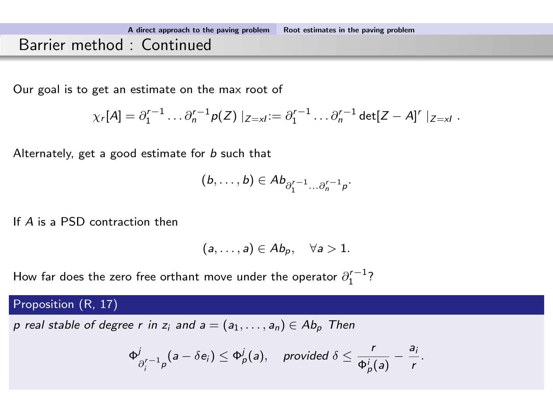$$
\chi_r[A] = \partial_1^{r-1} \dots \partial_n^{r-1} p(Z) \mid_{Z=x} = \partial_1^{r-1} \dots \partial_n^{r-1} \det[Z - A]^r \mid_{Z=x}.
$$

Alternately, get a good estimate for  $b$  such that

$$
(b,\ldots,b)\in Ab_{\partial_1^{r-1}\ldots\partial_n^{r-1}p}.
$$

If A is a PSD contraction then

$$
(a,\ldots,a)\in Ab_p,\quad \forall a>1.
$$

How far does the zero free orthant move under the operator  $\partial_1^{r-1}$ ?

#### Proposition (R, 17)

p real stable of degree r in  $z_i$  and  $a = (a_1, \ldots, a_n) \in Ab_p$  Then

$$
\Phi^j_{\partial_i^{r-1} \rho}(a - \delta \mathsf{e}_i) \leq \Phi^j_{\rho}(a), \quad \text{provided } \delta \leq \frac{r}{\Phi^j_{\rho}(a)} - \frac{a_i}{r}.
$$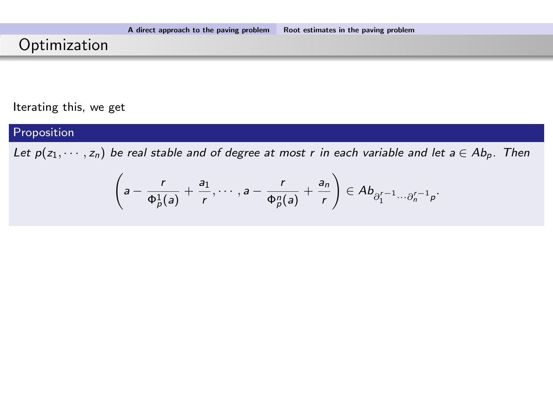## Optimization

Iterating this, we get

#### Proposition

Let  $p(z_1, \dots, z_n)$  be real stable and of degree at most r in each variable and let  $a \in Ab_p$ . Then

$$
\left(a-\frac{r}{\Phi_{\rho}^1(a)}+\frac{a_1}{r},\cdots,a-\frac{r}{\Phi_{\rho}^n(a)}+\frac{a_n}{r}\right)\in Ab_{\partial_1^{r-1}\cdots\partial_n^{r-1}\rho}.
$$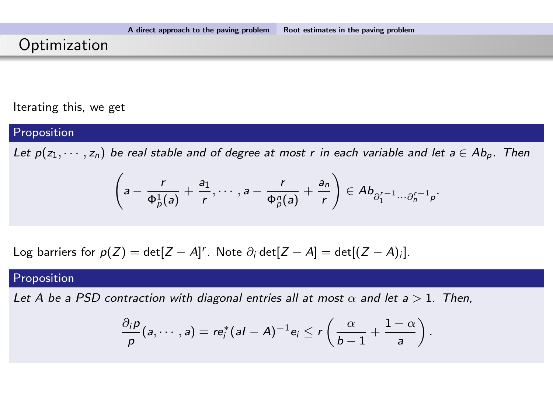### **Optimization**

#### Iterating this, we get

#### Proposition

Let  $p(z_1, \dots, z_n)$  be real stable and of degree at most r in each variable and let  $a \in Ab_p$ . Then

$$
\left(a-\frac{r}{\Phi_{\rho}^1(a)}+\frac{a_1}{r},\cdots,a-\frac{r}{\Phi_{\rho}^n(a)}+\frac{a_n}{r}\right)\in Ab_{\partial_1^{r-1}\cdots\partial_n^{r-1}p}.
$$

Log barriers for  $p(Z) = det[Z - A]^r$ . Note  $\partial_i det[Z - A] = det[(Z - A)_i]$ .

#### Proposition

Let A be a PSD contraction with diagonal entries all at most  $\alpha$  and let a  $> 1$ . Then,

$$
\frac{\partial_i p}{p}(a,\cdots,a)=re_i^*(al-A)^{-1}e_i\leq r\left(\frac{\alpha}{b-1}+\frac{1-\alpha}{a}\right).
$$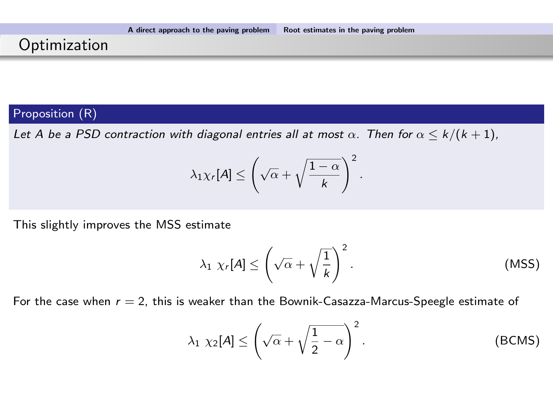### **Optimization**

#### Proposition (R)

Let A be a PSD contraction with diagonal entries all at most  $\alpha$ . Then for  $\alpha \leq k/(k+1)$ ,

$$
\lambda_1\chi_r[A] \leq \left(\sqrt{\alpha} + \sqrt{\frac{1-\alpha}{k}}\right)^2.
$$

This slightly improves the MSS estimate

$$
\lambda_1 \ \chi_r[A] \le \left(\sqrt{\alpha} + \sqrt{\frac{1}{k}}\right)^2. \tag{MSS}
$$

For the case when  $r = 2$ , this is weaker than the Bownik-Casazza-Marcus-Speegle estimate of

$$
\lambda_1 \ \chi_2[A] \le \left(\sqrt{\alpha} + \sqrt{\frac{1}{2} - \alpha}\right)^2. \tag{BCMS}
$$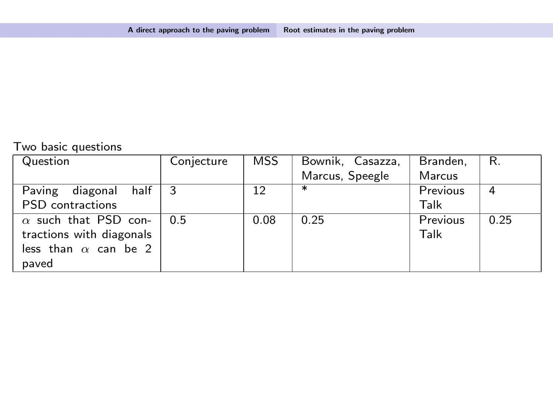#### Two basic questions

| Question                    | Conjecture | <b>MSS</b> | Bownik, Casazza, | Branden, | R.   |
|-----------------------------|------------|------------|------------------|----------|------|
|                             |            |            | Marcus, Speegle  | Marcus   |      |
| half<br>Paving diagonal     | - 3        | 12         | $\ast$           | Previous | 4    |
| <b>PSD</b> contractions     |            |            |                  | Talk     |      |
| $\alpha$ such that PSD con- | 0.5        | 0.08       | 0.25             | Previous | 0.25 |
| tractions with diagonals    |            |            |                  | Talk     |      |
| less than $\alpha$ can be 2 |            |            |                  |          |      |
| paved                       |            |            |                  |          |      |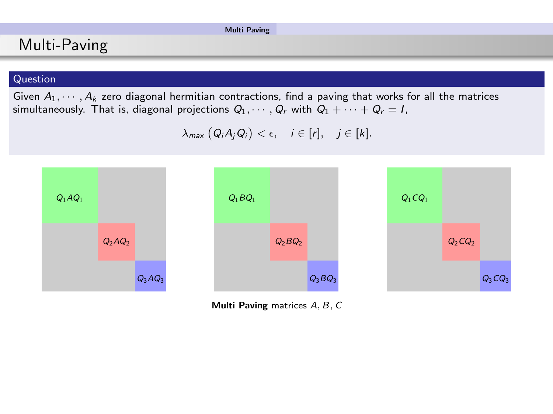### <span id="page-61-0"></span>Multi-Paving

#### Question

Given  $A_1, \dots, A_k$  zero diagonal hermitian contractions, find a paving that works for all the matrices simultaneously. That is, diagonal projections  $Q_1, \dots, Q_r$  with  $Q_1 + \dots + Q_r = I$ ,

 $\lambda_{max} (Q_i A_j Q_i) < \epsilon, \quad i \in [r], \quad j \in [k].$ 



Multi Paving matrices A, B, C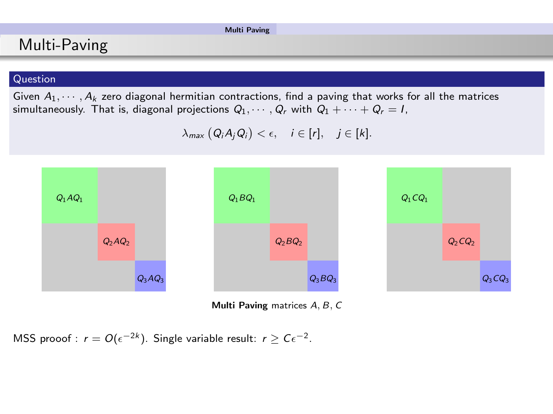### Multi-Paving

#### Question

Given  $A_1, \dots, A_k$  zero diagonal hermitian contractions, find a paving that works for all the matrices simultaneously. That is, diagonal projections  $Q_1, \dots, Q_r$  with  $Q_1 + \dots + Q_r = I$ ,

 $\lambda_{max} (Q_i A_j Q_i) < \epsilon, \quad i \in [r], \quad j \in [k].$ 



Multi Paving matrices A, B, C

MSS prooof :  $r = O(\epsilon^{-2k})$ . Single variable result:  $r \ge C\epsilon^{-2}$ .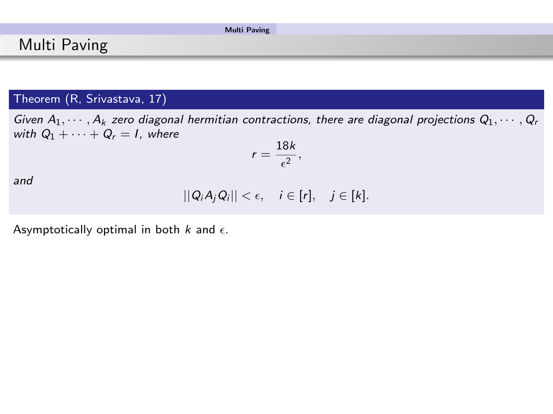### Theorem (R, Srivastava, 17)

Given  $A_1, \dots, A_k$  zero diagonal hermitian contractions, there are diagonal projections  $Q_1, \dots, Q_r$ with  $Q_1 + \cdots + Q_r = I$ , where

$$
r=\frac{18k}{\epsilon^2},
$$

and

$$
||Q_iA_jQ_i|| < \epsilon, \quad i \in [r], \quad j \in [k].
$$

Asymptotically optimal in both  $k$  and  $\epsilon$ .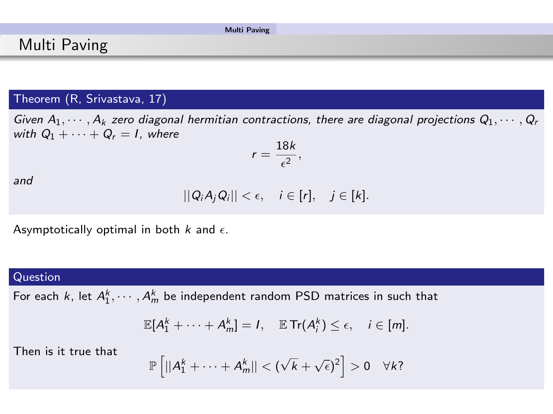### Theorem (R, Srivastava, 17)

Given  $A_1, \dots, A_k$  zero diagonal hermitian contractions, there are diagonal projections  $Q_1, \dots, Q_r$ with  $Q_1 + \cdots + Q_r = I$ , where

$$
r=\frac{18k}{\epsilon^2},
$$

and

$$
||Q_iA_jQ_i|| < \epsilon, \quad i \in [r], \quad j \in [k].
$$

Asymptotically optimal in both  $k$  and  $\epsilon$ .

#### Question

For each k, let  $A_1^k, \cdots, A_m^k$  be independent random PSD matrices in such that

$$
\mathbb{E}[A_1^k + \cdots + A_m^k] = I, \quad \mathbb{E} \operatorname{Tr}(A_i^k) \leq \epsilon, \quad i \in [m].
$$

Then is it true that

$$
\mathbb{P}\left[||A_1^k + \cdots + A_m^k|| < (\sqrt{k} + \sqrt{\epsilon})^2\right] > 0 \quad \forall k?
$$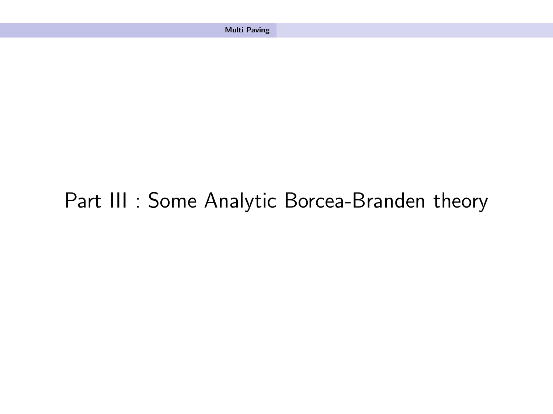# Part III : Some Analytic Borcea-Branden theory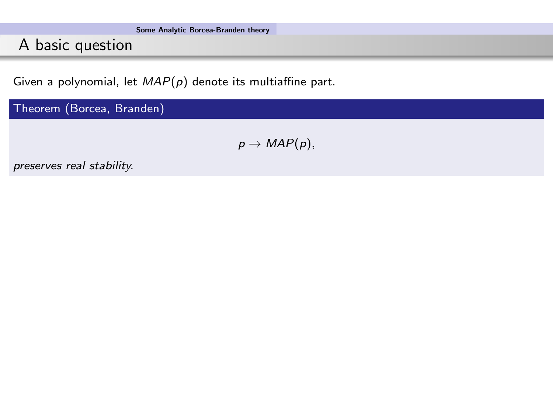<span id="page-66-0"></span>Given a polynomial, let  $MAP(p)$  denote its multiaffine part.

Theorem (Borcea, Branden)

 $p \rightarrow MAP(p)$ ,

preserves real stability.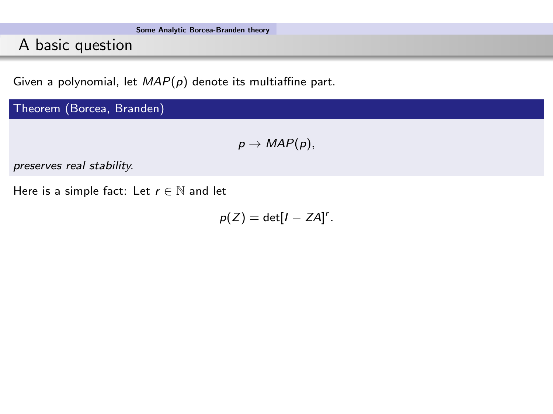A basic question

Given a polynomial, let  $MAP(p)$  denote its multiaffine part.

Theorem (Borcea, Branden)

 $p \rightarrow MAP(p)$ ,

preserves real stability.

Here is a simple fact: Let  $r \in \mathbb{N}$  and let

 $p(Z) = det[I - ZA]$ <sup>r</sup>.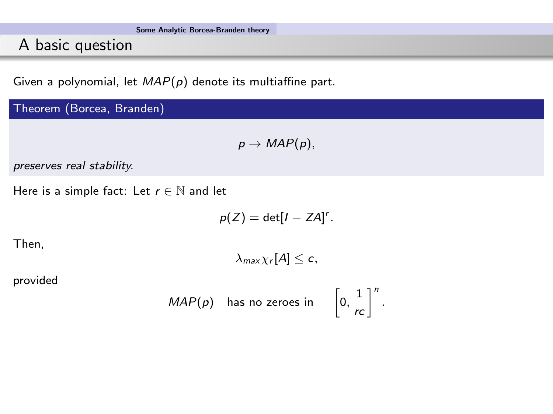A basic question

Given a polynomial, let  $MAP(p)$  denote its multiaffine part.

Theorem (Borcea, Branden)

$$
p \rightarrow MAP(p),
$$

preserves real stability.

Here is a simple fact: Let  $r \in \mathbb{N}$  and let

$$
p(Z) = \det[I - ZA]^r.
$$

Then,

 $\lambda_{\max} \chi_r[A] < c$ ,

provided

$$
MAP(p) \quad \text{has no zeroes in} \quad \left[0, \frac{1}{rc}\right]^n.
$$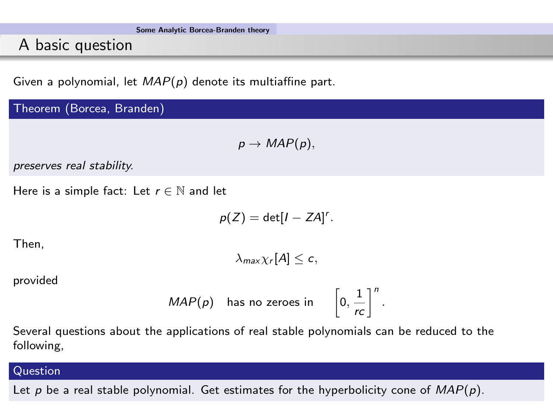A basic question

Given a polynomial, let  $MAP(p)$  denote its multiaffine part.

Theorem (Borcea, Branden)

 $p \rightarrow MAP(p)$ ,

preserves real stability.

Here is a simple fact: Let  $r \in \mathbb{N}$  and let

$$
p(Z) = \det[I - ZA]^r.
$$

Then,

 $\lambda_{\max} \chi_r[A] \leq c$ ,

provided

$$
MAP(p) \quad \text{has no zeroes in} \quad \left[0, \frac{1}{rc}\right]^n
$$

.

Several questions about the applications of real stable polynomials can be reduced to the following,

#### Question

Let p be a real stable polynomial. Get estimates for the hyperbolicity cone of  $MAP(p)$ .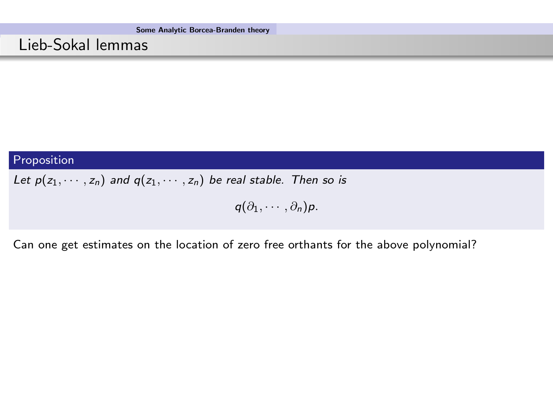### Lieb-Sokal lemmas

#### Proposition

Let  $p(z_1, \dots, z_n)$  and  $q(z_1, \dots, z_n)$  be real stable. Then so is

 $q(\partial_1, \cdots, \partial_n)p$ .

Can one get estimates on the location of zero free orthants for the above polynomial?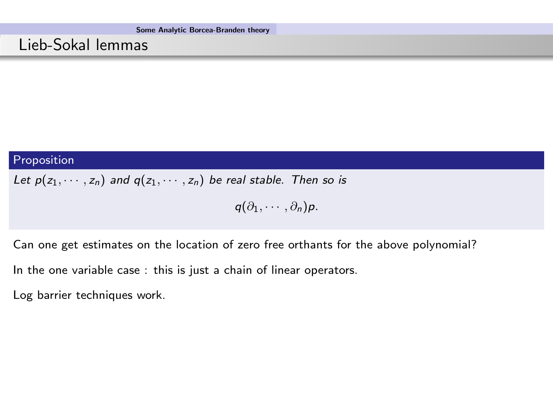### Lieb-Sokal lemmas

#### Proposition

Let  $p(z_1, \dots, z_n)$  and  $q(z_1, \dots, z_n)$  be real stable. Then so is

 $q(\partial_1, \cdots, \partial_n)p$ .

Can one get estimates on the location of zero free orthants for the above polynomial?

In the one variable case : this is just a chain of linear operators.

Log barrier techniques work.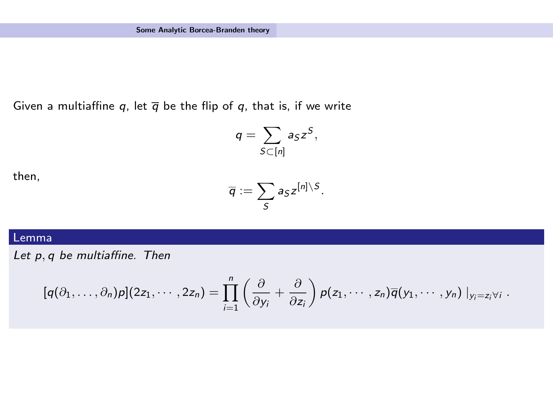Given a multiaffine q, let  $\overline{q}$  be the flip of q, that is, if we write

$$
q=\sum_{S\subset [n]}a_Sz^S,
$$

then,

$$
\overline{q}:=\sum_{S}a_{S}z^{[n]\setminus S}.
$$

### Lemma

Let p, q be multiaffine. Then

$$
[q(\partial_1,\ldots,\partial_n)p](2z_1,\cdots,2z_n)=\prod_{i=1}^n\left(\frac{\partial}{\partial y_i}+\frac{\partial}{\partial z_i}\right)p(z_1,\cdots,z_n)\overline{q}(y_1,\cdots,y_n)|_{y_i=z_i\forall i}.
$$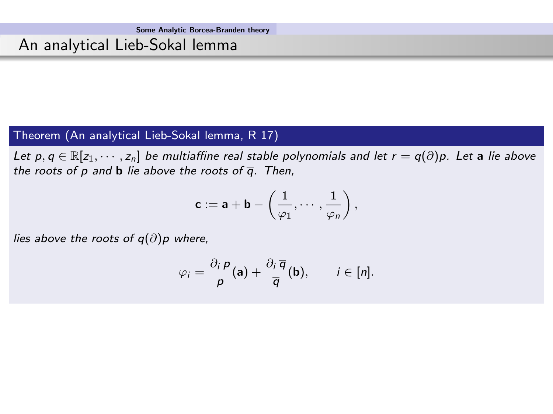# An analytical Lieb-Sokal lemma

### Theorem (An analytical Lieb-Sokal lemma, R 17)

Let p,  $q \in \mathbb{R}[z_1, \dots, z_n]$  be multiaffine real stable polynomials and let  $r = q(\partial)p$ . Let a lie above the roots of p and **b** lie above the roots of  $\overline{q}$ . Then,

$$
\mathbf{c}:=\mathbf{a}+\mathbf{b}-\left(\frac{1}{\varphi_1},\cdots,\frac{1}{\varphi_n}\right),
$$

lies above the roots of  $q(\partial)$ p where,

$$
\varphi_i = \frac{\partial_i p}{p}(\mathbf{a}) + \frac{\partial_i \overline{q}}{\overline{q}}(\mathbf{b}), \qquad i \in [n].
$$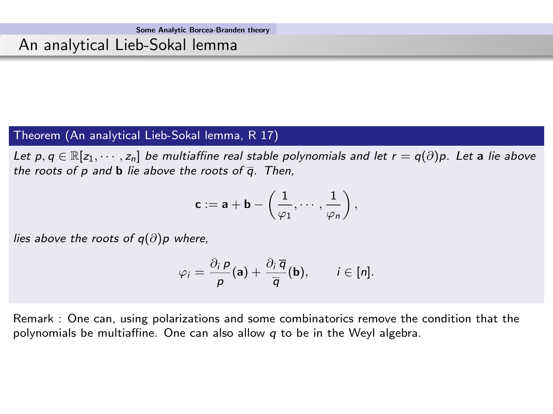## An analytical Lieb-Sokal lemma

### Theorem (An analytical Lieb-Sokal lemma, R 17)

Let p,  $q \in \mathbb{R}[z_1, \dots, z_n]$  be multiaffine real stable polynomials and let  $r = q(\partial)p$ . Let a lie above the roots of p and **b** lie above the roots of  $\overline{q}$ . Then,

$$
\mathbf{c}:=\mathbf{a}+\mathbf{b}-\left(\frac{1}{\varphi_1},\cdots,\frac{1}{\varphi_n}\right),
$$

lies above the roots of  $q(\partial)$ p where,

$$
\varphi_i = \frac{\partial_i p}{p}(\mathbf{a}) + \frac{\partial_i \overline{q}}{\overline{q}}(\mathbf{b}), \qquad i \in [n].
$$

Remark : One can, using polarizations and some combinatorics remove the condition that the polynomials be multiaffine. One can also allow  $q$  to be in the Weyl algebra.